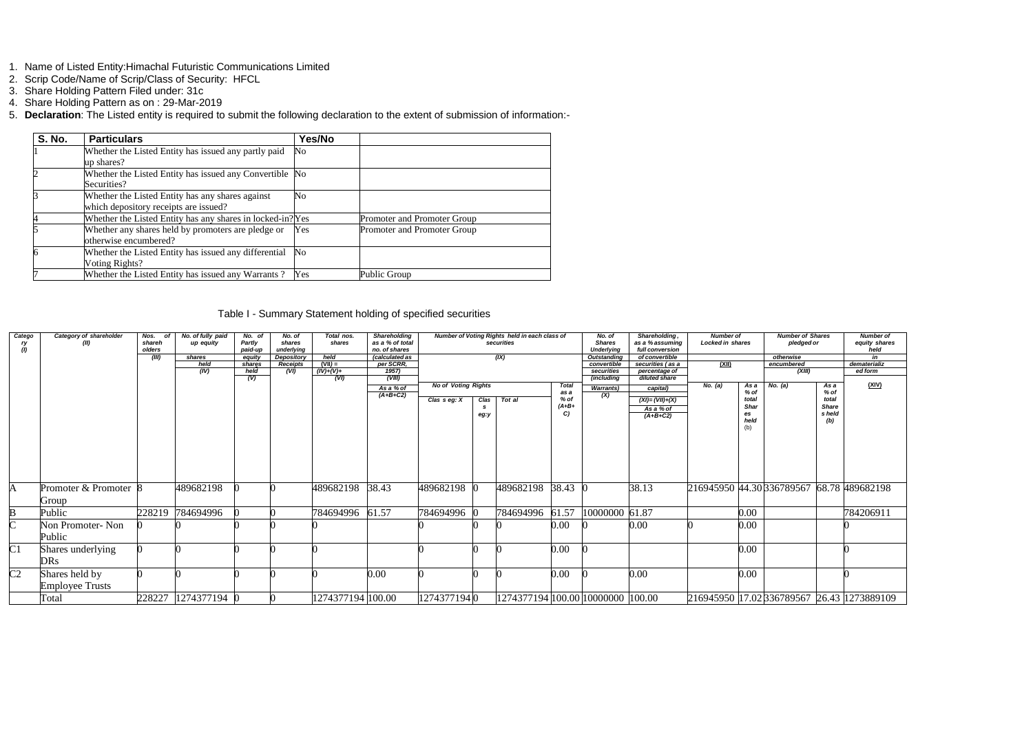- 1. Name of Listed Entity:Himachal Futuristic Communications Limited
- 2. Scrip Code/Name of Scrip/Class of Security: HFCL
- 3. Share Holding Pattern Filed under: 31c
- 4. Share Holding Pattern as on : 29-Mar-2019
- 5. **Declaration**: The Listed entity is required to submit the following declaration to the extent of submission of information:-

| <b>S. No.</b> | <b>Particulars</b>                                                                        | Yes/No   |                             |
|---------------|-------------------------------------------------------------------------------------------|----------|-----------------------------|
|               | Whether the Listed Entity has issued any partly paid<br>up shares?                        | No       |                             |
|               | Whether the Listed Entity has issued any Convertible No<br>Securities?                    |          |                             |
|               | Whether the Listed Entity has any shares against<br>which depository receipts are issued? | No       |                             |
|               | Whether the Listed Entity has any shares in locked-in? Yes                                |          | Promoter and Promoter Group |
|               | Whether any shares held by promoters are pledge or<br>otherwise encumbered?               | Yes      | Promoter and Promoter Group |
|               | Whether the Listed Entity has issued any differential<br>Voting Rights?                   | $\rm No$ |                             |
|               | Whether the Listed Entity has issued any Warrants?                                        | Yes      | Public Group                |

## Table I - Summary Statement holding of specified securities

| Catego<br>ry<br>(I) | Category of shareholder<br>(II)          | Nos. of<br>shareh<br>olders<br>(III) | No. of fully paid<br>up equity<br>shares<br>held<br>(IV) | No. of<br>Partly<br>paid-up<br>equity<br>shares<br>held<br>(V) | No. of<br>shares<br>underlying<br>Depository<br><b>Receipts</b><br>(VI) | Total nos.<br>shares<br>held<br>$(VII) =$<br>$(IV)+(V)+$<br>(VI) | <b>Shareholding</b><br>as a % of total<br>no, of shares<br>(calculated as<br>per SCRR,<br>1957)<br>(VIII) |                                                |              | Number of Voting Rights held in each class of<br>securities<br>(IX) |                                                | No. of<br><b>Shares</b><br><b>Underlvina</b><br><b>Outstanding</b><br>convertible<br>securities<br>(including | Shareholding,<br>as a % assuming<br>full conversion<br>of convertible<br>securities (as a<br>percentage of<br>diluted share |         |                                                      |                           | <b>Number of</b><br>Locked in shares<br>(XII)            |                                            | <b>Number of Shares</b><br>pledged or<br>otherwise<br>encumbered<br>(XIII) |  |  |
|---------------------|------------------------------------------|--------------------------------------|----------------------------------------------------------|----------------------------------------------------------------|-------------------------------------------------------------------------|------------------------------------------------------------------|-----------------------------------------------------------------------------------------------------------|------------------------------------------------|--------------|---------------------------------------------------------------------|------------------------------------------------|---------------------------------------------------------------------------------------------------------------|-----------------------------------------------------------------------------------------------------------------------------|---------|------------------------------------------------------|---------------------------|----------------------------------------------------------|--------------------------------------------|----------------------------------------------------------------------------|--|--|
|                     |                                          |                                      |                                                          |                                                                |                                                                         |                                                                  | As a % of<br>$(A+B+C2)$                                                                                   | <b>No of Voting Rights</b><br>Clas $s$ eg: $X$ | Clas<br>eg:y | Tot al                                                              | <b>Total</b><br>as a<br>$%$ of<br>$(A+B+$<br>C | <b>Warrants</b> )<br>$\overline{(\mathsf{X})}$                                                                | capital)<br>$(XI) = (VII)+(X)$<br>As a % of<br>$(A+B+C2)$                                                                   | No. (a) | As a<br>$%$ of<br>total<br>Shar<br>es<br>held<br>(b) | No. (a)                   | As a<br>$%$ of<br>total<br><b>Share</b><br>s held<br>(b) | (XIV)                                      |                                                                            |  |  |
|                     | Promoter & Promoter 8<br>Group           |                                      | 489682198                                                |                                                                |                                                                         | 489682198                                                        | 38.43                                                                                                     | 489682198                                      |              | 489682198                                                           | $38.43 \;   \; 0$                              |                                                                                                               | 38.13                                                                                                                       |         |                                                      | 216945950 44.30 336789567 |                                                          | 68.78 489682198                            |                                                                            |  |  |
|                     | Public                                   | 228219                               | 784694996                                                |                                                                |                                                                         | 784694996                                                        | 61.57                                                                                                     | 784694996                                      |              | 784694996                                                           | 61.57                                          | 10000000 61.87                                                                                                |                                                                                                                             |         | $0.00\,$                                             |                           |                                                          | 784206911                                  |                                                                            |  |  |
|                     | Non Promoter-Non<br>Public               |                                      |                                                          |                                                                |                                                                         |                                                                  |                                                                                                           |                                                |              |                                                                     | $0.00\,$                                       |                                                                                                               | 0.00                                                                                                                        |         | $0.00\,$                                             |                           |                                                          |                                            |                                                                            |  |  |
| C <sub>1</sub>      | Shares underlying<br><b>DRs</b>          |                                      |                                                          |                                                                |                                                                         |                                                                  |                                                                                                           |                                                |              |                                                                     | 0.00                                           |                                                                                                               |                                                                                                                             |         | $0.00\,$                                             |                           |                                                          |                                            |                                                                            |  |  |
| C <sub>2</sub>      | Shares held by<br><b>Employee Trusts</b> |                                      |                                                          |                                                                |                                                                         |                                                                  | 0.00                                                                                                      |                                                |              |                                                                     | 0.00                                           |                                                                                                               | 0.00                                                                                                                        |         | $0.00\,$                                             |                           |                                                          |                                            |                                                                            |  |  |
|                     | Total                                    |                                      | 228227 1274377194 0                                      |                                                                |                                                                         | 1274377194 100.00                                                |                                                                                                           | 12743771940                                    |              | 1274377194  100.00  10000000   100.00                               |                                                |                                                                                                               |                                                                                                                             |         |                                                      |                           |                                                          | 216945950 17.02 336789567 26.43 1273889109 |                                                                            |  |  |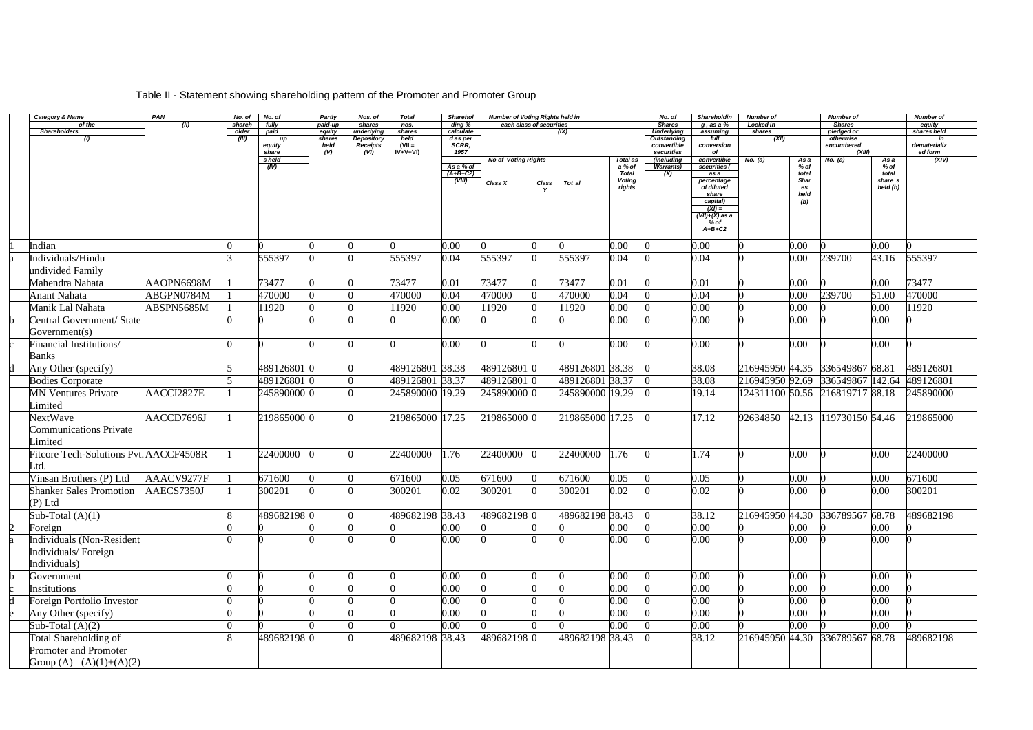## Table II - Statement showing shareholding pattern of the Promoter and Promoter Group

| Category & Name                          | PAN        | No. of          | No. of          | Partly                    | Nos. of              | <b>Total</b>    | <b>Sharehol</b>                   | <b>Number of Voting Rights held in</b> |       |                 |                                            | No. of                             | Shareholdin                                                                                                               | <b>Number of</b>           |                                            | <b>Number of</b>                |                                      | <b>Number of</b>      |
|------------------------------------------|------------|-----------------|-----------------|---------------------------|----------------------|-----------------|-----------------------------------|----------------------------------------|-------|-----------------|--------------------------------------------|------------------------------------|---------------------------------------------------------------------------------------------------------------------------|----------------------------|--------------------------------------------|---------------------------------|--------------------------------------|-----------------------|
| of the<br><b>Shareholders</b>            | (II)       | shareh<br>older | fully<br>paid   | paid-up<br>equity         | shares<br>underlying | nos.<br>shares  | ding %<br>calculate               | each class of securities               |       | (IX)            |                                            | <b>Shares</b><br><b>Underlying</b> | $q$ , as a $%$<br>assuming                                                                                                | <b>Locked in</b><br>shares |                                            | <b>Shares</b><br>pledged or     |                                      | equity<br>shares held |
| (1)                                      |            | (III)           | up              | shares                    | <b>Depository</b>    | held            | d as per                          |                                        |       |                 |                                            | <b>Outstanding</b>                 | full                                                                                                                      | (XII)                      |                                            | otherwise                       |                                      | in                    |
|                                          |            |                 | equity          | held                      | Receipts             | $(VII =$        | SCRR,                             |                                        |       |                 |                                            | convertible                        | conversion                                                                                                                |                            |                                            | encumbered                      |                                      | dematerializ          |
|                                          |            |                 | share<br>s held | $\overline{(\mathsf{V})}$ | (VI)                 | $IV+V+VI$       | 1957                              | <b>No of Voting Rights</b>             |       |                 | Total as                                   | securities<br>(including           | of<br>convertible                                                                                                         | No. (a)                    | As a                                       | (XIII)<br>No. (a)               | As a                                 | ed form<br>(XIV)      |
|                                          |            |                 | (IV)            |                           |                      |                 | As a % of<br>$(A+B+C2)$<br>(VIII) | <b>Class X</b>                         | Class | Tot al          | a % of<br>Total<br><b>Voting</b><br>rights | <b>Warrants)</b><br>(X)            | securities (<br>as a<br>percentage<br>of diluted<br>share<br>capital)<br>$(XI) =$<br>$(VII)+(X)$ as a<br>% of<br>$A+B+C2$ |                            | % of<br>total<br>Shar<br>es<br>held<br>(b) |                                 | % of<br>total<br>share s<br>held (b) |                       |
| Indian                                   |            |                 |                 |                           |                      |                 | 0.00                              |                                        |       |                 | 0.00                                       |                                    | 0.00                                                                                                                      |                            | 0.00                                       |                                 | 0.00                                 |                       |
| Individuals/Hindu                        |            |                 | 555397          |                           |                      | 555397          | 0.04                              | 555397                                 |       | 555397          | 0.04                                       |                                    | 0.04                                                                                                                      |                            | 0.00                                       | 239700                          | 43.16                                | 555397                |
| undivided Family                         |            |                 |                 |                           |                      |                 |                                   |                                        |       |                 |                                            |                                    |                                                                                                                           |                            |                                            |                                 |                                      |                       |
| Mahendra Nahata                          | AAOPN6698M |                 | 73477           |                           |                      | 73477           | 0.01                              | 73477                                  |       | 73477           | 0.01                                       |                                    | 0.01                                                                                                                      |                            | 0.00                                       |                                 | 0.00                                 | 73477                 |
| <b>Anant Nahata</b>                      | ABGPN0784M |                 | 470000          |                           |                      | 470000          | 0.04                              | 470000                                 |       | 470000          | 0.04                                       |                                    | 0.04                                                                                                                      |                            | 0.00                                       | 239700                          | 51.00                                | 470000                |
| Manik Lal Nahata                         | ABSPN5685M |                 | 11920           |                           |                      | 11920           | 0.00                              | 11920                                  |       | 11920           | 0.00                                       |                                    | 0.00                                                                                                                      |                            | 0.00                                       |                                 | 0.00                                 | 11920                 |
| Central Government/ State                |            |                 |                 |                           |                      |                 | 0.00                              |                                        |       |                 | 0.00                                       |                                    | 0.00                                                                                                                      |                            | 0.00                                       |                                 | 0.00                                 |                       |
| Government(s)                            |            |                 |                 |                           |                      |                 |                                   |                                        |       |                 |                                            |                                    |                                                                                                                           |                            |                                            |                                 |                                      |                       |
| Financial Institutions/                  |            |                 |                 |                           |                      |                 | 0.00                              |                                        |       |                 | 0.00                                       |                                    | 0.00                                                                                                                      |                            | 0.00                                       |                                 | 0.00                                 |                       |
| <b>Banks</b>                             |            |                 |                 |                           |                      |                 |                                   |                                        |       |                 |                                            |                                    |                                                                                                                           |                            |                                            |                                 |                                      |                       |
| Any Other (specify)                      |            |                 | 489126801       |                           |                      | 489126801 38.38 |                                   | 489126801 0                            |       | 489126801 38.38 |                                            |                                    | 38.08                                                                                                                     | 216945950 44.35            |                                            | 336549867 68.81                 |                                      | 489126801             |
| <b>Bodies Corporate</b>                  |            |                 | 489126801       |                           |                      | 489126801 38.37 |                                   | 489126801 0                            |       | 489126801 38.37 |                                            |                                    | 38.08                                                                                                                     | 216945950 92.69            |                                            | 336549867 142.64                |                                      | 489126801             |
| <b>MN Ventures Private</b>               | AACCI2827E |                 | 245890000       |                           |                      | 245890000 19.29 |                                   | 245890000 0                            |       | 245890000 19.29 |                                            |                                    | 19.14                                                                                                                     |                            |                                            | 124311100 50.56 216819717 88.18 |                                      | 245890000             |
| Limited                                  |            |                 |                 |                           |                      |                 |                                   |                                        |       |                 |                                            |                                    |                                                                                                                           |                            |                                            |                                 |                                      |                       |
| NextWave                                 | AACCD7696J |                 | 219865000       |                           |                      | 219865000 17.25 |                                   | 219865000 0                            |       | 219865000 17.25 |                                            |                                    | 17.12                                                                                                                     | 92634850                   | 42.13                                      | 119730150 54.46                 |                                      | 219865000             |
| <b>Communications Private</b><br>Limited |            |                 |                 |                           |                      |                 |                                   |                                        |       |                 |                                            |                                    |                                                                                                                           |                            |                                            |                                 |                                      |                       |
| Fitcore Tech-Solutions Pvt. AACCF4508R   |            |                 | 22400000        |                           |                      | 22400000        | 1.76                              | 22400000                               |       | 22400000        | 1.76                                       |                                    | 1.74                                                                                                                      |                            | 0.00                                       |                                 | 0.00                                 | 22400000              |
| td.                                      |            |                 |                 |                           |                      |                 |                                   |                                        |       |                 |                                            |                                    |                                                                                                                           |                            |                                            |                                 |                                      |                       |
| Vinsan Brothers (P) Ltd                  | AAACV9277F |                 | 671600          |                           |                      | 671600          | 0.05                              | 671600                                 |       | 671600          | 0.05                                       |                                    | 0.05                                                                                                                      |                            | 0.00                                       |                                 | 0.00                                 | 671600                |
| <b>Shanker Sales Promotion</b>           | AAECS7350J |                 | 300201          |                           |                      | 300201          | 0.02                              | 300201                                 |       | 300201          | 0.02                                       |                                    | 0.02                                                                                                                      |                            | 0.00                                       |                                 | 0.00                                 | 300201                |
| $(P)$ Ltd                                |            |                 |                 |                           |                      |                 |                                   |                                        |       |                 |                                            |                                    |                                                                                                                           |                            |                                            |                                 |                                      |                       |
| Sub-Total $(A)(1)$                       |            |                 | 489682198 0     |                           |                      | 489682198 38.43 |                                   | 489682198 0                            |       | 489682198 38.43 |                                            |                                    | 38.12                                                                                                                     | 216945950 44.30            |                                            | 336789567 68.78                 |                                      | 489682198             |
| Foreign                                  |            |                 |                 |                           |                      |                 | 0.00                              |                                        |       |                 | 0.00                                       |                                    | 0.00                                                                                                                      |                            | 0.00                                       |                                 | 0.00                                 |                       |
| Individuals (Non-Resident                |            |                 |                 |                           |                      |                 | 0.00                              |                                        |       |                 | 0.00                                       |                                    | 0.00                                                                                                                      |                            | $0.00\,$                                   |                                 | 0.00                                 |                       |
| Individuals/Foreign                      |            |                 |                 |                           |                      |                 |                                   |                                        |       |                 |                                            |                                    |                                                                                                                           |                            |                                            |                                 |                                      |                       |
| Individuals)                             |            |                 |                 |                           |                      |                 |                                   |                                        |       |                 |                                            |                                    |                                                                                                                           |                            |                                            |                                 |                                      |                       |
| Government                               |            |                 |                 |                           |                      |                 | 0.00                              |                                        |       |                 | 0.00                                       |                                    | 0.00                                                                                                                      |                            | 0.00                                       |                                 | 0.00                                 |                       |
| <b>Institutions</b>                      |            |                 |                 |                           |                      |                 | 0.00                              |                                        |       |                 | 0.00                                       |                                    | 0.00                                                                                                                      |                            | 0.00                                       |                                 | 0.00                                 |                       |
| Foreign Portfolio Investor               |            |                 |                 |                           |                      |                 | 0.00                              |                                        |       |                 | 0.00                                       |                                    | 0.00                                                                                                                      |                            | 0.00                                       |                                 | 0.00                                 |                       |
| Any Other (specify)                      |            |                 |                 |                           |                      |                 | 0.00                              |                                        |       |                 | 0.00                                       |                                    | 0.00                                                                                                                      |                            | 0.00                                       |                                 | 0.00                                 |                       |
| Sub-Total $(A)(2)$                       |            |                 |                 |                           |                      |                 | 0.00                              |                                        |       |                 | 0.00                                       |                                    | 0.00                                                                                                                      |                            | 0.00                                       |                                 | 0.00                                 |                       |
| Total Shareholding of                    |            |                 | 489682198 0     |                           |                      | 489682198 38.43 |                                   | 489682198 0                            |       | 489682198 38.43 |                                            |                                    | 38.12                                                                                                                     | 216945950                  | 44.30                                      | 336789567                       | 68.78                                | 489682198             |
| Promoter and Promoter                    |            |                 |                 |                           |                      |                 |                                   |                                        |       |                 |                                            |                                    |                                                                                                                           |                            |                                            |                                 |                                      |                       |
| Group $(A)=(A)(1)+(A)(2)$                |            |                 |                 |                           |                      |                 |                                   |                                        |       |                 |                                            |                                    |                                                                                                                           |                            |                                            |                                 |                                      |                       |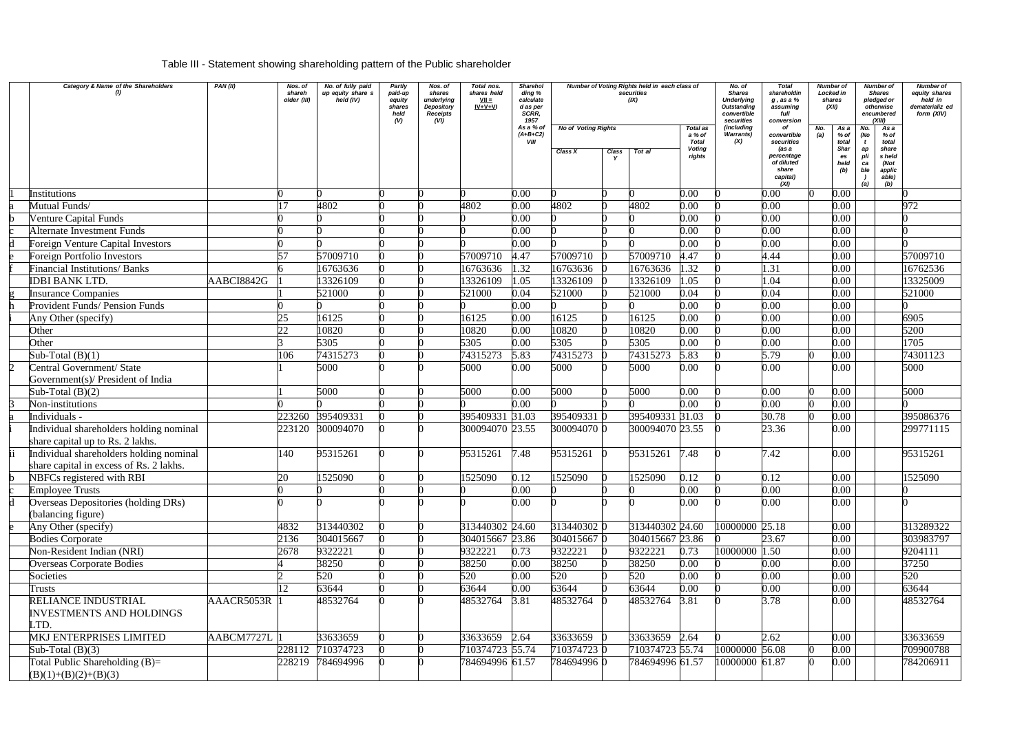## Table III - Statement showing shareholding pattern of the Public shareholder

|   | Category & Name of the Shareholders                                         | PAN(II)    | Nos. of<br>shareh<br>older (III) | No. of fully paid<br>up equity share s<br>held (IV) | Partly<br>paid-up<br>equity<br>shares<br>held<br>(V) | Nos. of<br>shares<br>underlying<br><b>Depository</b><br>Receipts<br>(VI) | Total nos.<br>shares held<br>$VII =$<br>$IV + V + VI$ | Sharehol<br>ding %<br>calculate<br>d as per<br>SCRR,<br>1957<br>As a % of | <b>No of Voting Rights</b> |                      | Number of Voting Rights held in each class of<br>securities<br>(IX) | <b>Total as</b>                                   | No. of<br><b>Shares</b><br><b>Underlying</b><br><b>Outstanding</b><br>convertible<br>securities<br>(including | <b>Total</b><br>shareholdin<br>$g$ , as a $%$<br>assuming<br>full<br>conversion<br>οf |     | Number of<br>Locked in<br>shares<br>(XII)<br>As a<br>No. |                                      | Number of<br><b>Shares</b><br>pledged or<br>otherwise<br>encumbered<br>(XIII)<br>As a | Number of<br>equity shares<br>held in<br>dematerializ ed<br>form (XIV) |
|---|-----------------------------------------------------------------------------|------------|----------------------------------|-----------------------------------------------------|------------------------------------------------------|--------------------------------------------------------------------------|-------------------------------------------------------|---------------------------------------------------------------------------|----------------------------|----------------------|---------------------------------------------------------------------|---------------------------------------------------|---------------------------------------------------------------------------------------------------------------|---------------------------------------------------------------------------------------|-----|----------------------------------------------------------|--------------------------------------|---------------------------------------------------------------------------------------|------------------------------------------------------------------------|
|   |                                                                             |            |                                  |                                                     |                                                      |                                                                          |                                                       | $(A+B+C2)$<br>VIII                                                        | Class X                    | Class<br>$\mathbf v$ | Tot al                                                              | a % of<br><b>Total</b><br><b>Voting</b><br>rights | <b>Warrants)</b><br>(X)                                                                                       | convertible<br>securities<br>(as a<br>percentage<br>of diluted<br>share<br>capital)   | (a) | % of<br>total<br><b>Shar</b><br>es<br>held<br>(b)        | No.<br>(No<br>ap<br>pli<br>ca<br>ble | % of<br>total<br>share<br>s held<br>(Not<br>applic<br>able)                           |                                                                        |
|   |                                                                             |            |                                  |                                                     |                                                      |                                                                          |                                                       |                                                                           |                            |                      |                                                                     |                                                   |                                                                                                               | (XI)                                                                                  |     |                                                          | (a)                                  | (b)                                                                                   |                                                                        |
|   | <b>Institutions</b><br>Mutual Funds/                                        |            |                                  | 4802                                                |                                                      |                                                                          | 4802                                                  | 0.00<br>0.00                                                              | 4802                       |                      | 4802                                                                | 0.00<br>0.00                                      |                                                                                                               | 0.00<br>0.00                                                                          |     | 0.00<br>0.00                                             |                                      |                                                                                       | 972                                                                    |
|   | <b>Venture Capital Funds</b>                                                |            |                                  |                                                     |                                                      |                                                                          |                                                       | 0.00                                                                      |                            |                      |                                                                     | 0.00                                              |                                                                                                               | 0.00                                                                                  |     | 0.00                                                     |                                      |                                                                                       |                                                                        |
|   | <b>Alternate Investment Funds</b>                                           |            |                                  |                                                     |                                                      |                                                                          |                                                       | 0.00                                                                      |                            |                      |                                                                     | 0.00                                              |                                                                                                               | 0.00                                                                                  |     | 0.00                                                     |                                      |                                                                                       |                                                                        |
|   | <b>Foreign Venture Capital Investors</b>                                    |            |                                  |                                                     |                                                      |                                                                          |                                                       | 0.00                                                                      |                            |                      |                                                                     | 0.00                                              |                                                                                                               | 0.00                                                                                  |     | 0.00                                                     |                                      |                                                                                       |                                                                        |
|   | <b>Foreign Portfolio Investors</b>                                          |            | 57                               | 57009710                                            |                                                      |                                                                          | 57009710                                              | 4.47                                                                      | 57009710                   |                      | 57009710                                                            | 4.47                                              |                                                                                                               | 4.44                                                                                  |     | 0.00                                                     |                                      |                                                                                       | 57009710                                                               |
|   | <b>Financial Institutions/ Banks</b>                                        |            |                                  | 16763636                                            |                                                      |                                                                          | 16763636                                              | 1.32                                                                      | 16763636                   |                      | 16763636                                                            | 1.32                                              |                                                                                                               | 1.31                                                                                  |     | 0.00                                                     |                                      |                                                                                       | 16762536                                                               |
|   | <b>IDBI BANK LTD.</b>                                                       | AABCI8842G |                                  | 13326109                                            |                                                      |                                                                          | 13326109                                              | 1.05                                                                      | 13326109                   |                      | 13326109                                                            | 1.05                                              |                                                                                                               | 1.04                                                                                  |     | 0.00                                                     |                                      |                                                                                       | 13325009                                                               |
|   | <b>Insurance Companies</b>                                                  |            |                                  | 521000                                              |                                                      |                                                                          | 521000                                                | 0.04                                                                      | 521000                     |                      | 521000                                                              | 0.04                                              |                                                                                                               | 0.04                                                                                  |     | 0.00                                                     |                                      |                                                                                       | 521000                                                                 |
|   | <b>Provident Funds/ Pension Funds</b>                                       |            |                                  |                                                     |                                                      |                                                                          |                                                       | 0.00                                                                      |                            |                      |                                                                     | 0.00                                              |                                                                                                               | 0.00                                                                                  |     | 0.00                                                     |                                      |                                                                                       |                                                                        |
|   | Any Other (specify)                                                         |            | 25                               | 16125                                               |                                                      |                                                                          | 16125                                                 | 0.00                                                                      | 16125                      |                      | 16125                                                               | 0.00                                              |                                                                                                               | 0.00                                                                                  |     | 0.00                                                     |                                      |                                                                                       | 6905                                                                   |
|   | Other                                                                       |            | 22                               | 10820                                               |                                                      |                                                                          | 10820                                                 | 0.00                                                                      | 10820                      |                      | 10820                                                               | 0.00                                              |                                                                                                               | 0.00                                                                                  |     | 0.00                                                     |                                      |                                                                                       | 5200                                                                   |
|   | Other                                                                       |            |                                  | 5305                                                |                                                      |                                                                          | 5305                                                  | 0.00                                                                      | 5305                       |                      | 5305                                                                | 0.00                                              |                                                                                                               | 0.00                                                                                  |     | 0.00                                                     |                                      |                                                                                       | 1705                                                                   |
|   | Sub-Total $(B)(1)$                                                          |            | 106                              | 74315273                                            |                                                      |                                                                          | 74315273                                              | 5.83                                                                      | 74315273                   |                      | 74315273                                                            | 5.83                                              |                                                                                                               | 5.79                                                                                  |     | 0.00                                                     |                                      |                                                                                       | 74301123                                                               |
|   | Central Government/ State                                                   |            |                                  | 5000                                                |                                                      |                                                                          | 5000                                                  | 0.00                                                                      | 5000                       |                      | 5000                                                                | 0.00                                              |                                                                                                               | 0.00                                                                                  |     | 0.00                                                     |                                      |                                                                                       | 5000                                                                   |
|   | Government(s)/ President of India                                           |            |                                  |                                                     |                                                      |                                                                          |                                                       |                                                                           |                            |                      |                                                                     |                                                   |                                                                                                               |                                                                                       |     |                                                          |                                      |                                                                                       |                                                                        |
|   | Sub-Total $(B)(2)$                                                          |            |                                  | 5000                                                |                                                      |                                                                          | 5000                                                  | 0.00                                                                      | 5000                       |                      | 5000                                                                | 0.00                                              |                                                                                                               | 0.00                                                                                  |     | 0.00                                                     |                                      |                                                                                       | 5000                                                                   |
|   | Non-institutions                                                            |            |                                  |                                                     |                                                      |                                                                          |                                                       | 0.00                                                                      |                            |                      |                                                                     | 0.00                                              |                                                                                                               | 0.00                                                                                  |     | 0.00                                                     |                                      |                                                                                       |                                                                        |
|   | Individuals -                                                               |            | 223260                           | 395409331                                           |                                                      |                                                                          | 395409331                                             | 31.03                                                                     | 395409331                  |                      | 395409331 31.03                                                     |                                                   |                                                                                                               | 30.78                                                                                 |     | 0.00                                                     |                                      |                                                                                       | 395086376                                                              |
|   | Individual shareholders holding nominal<br>share capital up to Rs. 2 lakhs. |            | 223120                           | 300094070                                           |                                                      |                                                                          | 300094070 23.55                                       |                                                                           | 300094070 0                |                      | 300094070 23.55                                                     |                                                   |                                                                                                               | 23.36                                                                                 |     | 0.00                                                     |                                      |                                                                                       | 299771115                                                              |
|   | Individual shareholders holding nominal                                     |            | 140                              | 95315261                                            |                                                      |                                                                          | 95315261                                              | 7.48                                                                      | 95315261                   |                      | 95315261                                                            | 7.48                                              |                                                                                                               | 7.42                                                                                  |     | 0.00                                                     |                                      |                                                                                       | 95315261                                                               |
|   | share capital in excess of Rs. 2 lakhs.                                     |            |                                  |                                                     |                                                      |                                                                          |                                                       |                                                                           |                            |                      |                                                                     |                                                   |                                                                                                               |                                                                                       |     |                                                          |                                      |                                                                                       |                                                                        |
|   | NBFCs registered with RBI                                                   |            | 20                               | 1525090                                             |                                                      |                                                                          | 1525090                                               | 0.12                                                                      | 1525090                    |                      | 1525090                                                             | 0.12                                              |                                                                                                               | 0.12                                                                                  |     | 0.00                                                     |                                      |                                                                                       | 1525090                                                                |
|   | Employee Trusts                                                             |            |                                  |                                                     |                                                      |                                                                          |                                                       | 0.00                                                                      |                            |                      |                                                                     | 0.00                                              |                                                                                                               | 0.00                                                                                  |     | 0.00                                                     |                                      |                                                                                       |                                                                        |
| d | Overseas Depositories (holding DRs)                                         |            |                                  |                                                     |                                                      |                                                                          |                                                       | 0.00                                                                      |                            |                      |                                                                     | 0.00                                              |                                                                                                               | 0.00                                                                                  |     | 0.00                                                     |                                      |                                                                                       |                                                                        |
|   | (balancing figure)                                                          |            |                                  |                                                     |                                                      |                                                                          |                                                       |                                                                           |                            |                      |                                                                     |                                                   |                                                                                                               |                                                                                       |     |                                                          |                                      |                                                                                       |                                                                        |
|   | Any Other (specify)                                                         |            | 4832                             | 313440302                                           |                                                      |                                                                          | 313440302 24.60                                       |                                                                           | 313440302 0                |                      | 313440302 24.60                                                     |                                                   | 10000000 25.18                                                                                                |                                                                                       |     | 0.00                                                     |                                      |                                                                                       | 313289322                                                              |
|   | <b>Bodies Corporate</b>                                                     |            | 2136                             | 304015667                                           |                                                      |                                                                          | 304015667 23.86                                       |                                                                           | 304015667 0                |                      | 304015667 23.86                                                     |                                                   |                                                                                                               | 23.67                                                                                 |     | 0.00                                                     |                                      |                                                                                       | 303983797                                                              |
|   | Non-Resident Indian (NRI)                                                   |            | 2678                             | 9322221                                             |                                                      |                                                                          | 9322221                                               | 0.73                                                                      | 9322221                    |                      | 9322221                                                             | 0.73                                              | 10000000 1.50                                                                                                 |                                                                                       |     | 0.00                                                     |                                      |                                                                                       | 9204111                                                                |
|   | <b>Overseas Corporate Bodies</b>                                            |            |                                  | 38250                                               |                                                      |                                                                          | 38250                                                 | 0.00                                                                      | 38250                      |                      | 38250                                                               | 0.00                                              |                                                                                                               | 0.00                                                                                  |     | 0.00                                                     |                                      |                                                                                       | 37250                                                                  |
|   | Societies                                                                   |            |                                  | 520                                                 |                                                      |                                                                          | 520                                                   | 0.00                                                                      | 520                        |                      | 520                                                                 | 0.00                                              |                                                                                                               | 0.00                                                                                  |     | 0.00                                                     |                                      |                                                                                       | 520                                                                    |
|   | <b>Trusts</b>                                                               |            | 12                               | 63644                                               |                                                      |                                                                          | 63644                                                 | 0.00                                                                      | 63644                      |                      | 63644                                                               | 0.00                                              |                                                                                                               | 0.00                                                                                  |     | 0.00                                                     |                                      |                                                                                       | 63644                                                                  |
|   | RELIANCE INDUSTRIAL                                                         | AAACR5053R |                                  | 48532764                                            |                                                      |                                                                          | 48532764                                              | 3.81                                                                      | 48532764                   |                      | 48532764                                                            | 3.81                                              |                                                                                                               | 3.78                                                                                  |     | 0.00                                                     |                                      |                                                                                       | 48532764                                                               |
|   | <b>INVESTMENTS AND HOLDINGS</b>                                             |            |                                  |                                                     |                                                      |                                                                          |                                                       |                                                                           |                            |                      |                                                                     |                                                   |                                                                                                               |                                                                                       |     |                                                          |                                      |                                                                                       |                                                                        |
|   | TD.                                                                         |            |                                  |                                                     |                                                      |                                                                          |                                                       |                                                                           |                            |                      |                                                                     |                                                   |                                                                                                               |                                                                                       |     |                                                          |                                      |                                                                                       |                                                                        |
|   | MKJ ENTERPRISES LIMITED                                                     | AABCM7727L |                                  | 33633659                                            |                                                      |                                                                          | 33633659                                              | 2.64                                                                      | 33633659                   |                      | 33633659                                                            | 2.64                                              |                                                                                                               | 2.62                                                                                  |     | 0.00                                                     |                                      |                                                                                       | 33633659                                                               |
|   | Sub-Total $(B)(3)$                                                          |            | 228112                           | 710374723                                           |                                                      |                                                                          | 710374723 55.74                                       |                                                                           | 710374723 0                |                      | 710374723 55.74                                                     |                                                   | 10000000 56.08                                                                                                |                                                                                       |     | 0.00                                                     |                                      |                                                                                       | 709900788                                                              |
|   | Total Public Shareholding $(B)=$                                            |            | 228219                           | 784694996                                           |                                                      |                                                                          | 784694996 61.57                                       |                                                                           | 784694996 0                |                      | 784694996 61.57                                                     |                                                   | 10000000 61.87                                                                                                |                                                                                       |     | 0.00                                                     |                                      |                                                                                       | 784206911                                                              |
|   | $(B)(1)+(B)(2)+(B)(3)$                                                      |            |                                  |                                                     |                                                      |                                                                          |                                                       |                                                                           |                            |                      |                                                                     |                                                   |                                                                                                               |                                                                                       |     |                                                          |                                      |                                                                                       |                                                                        |